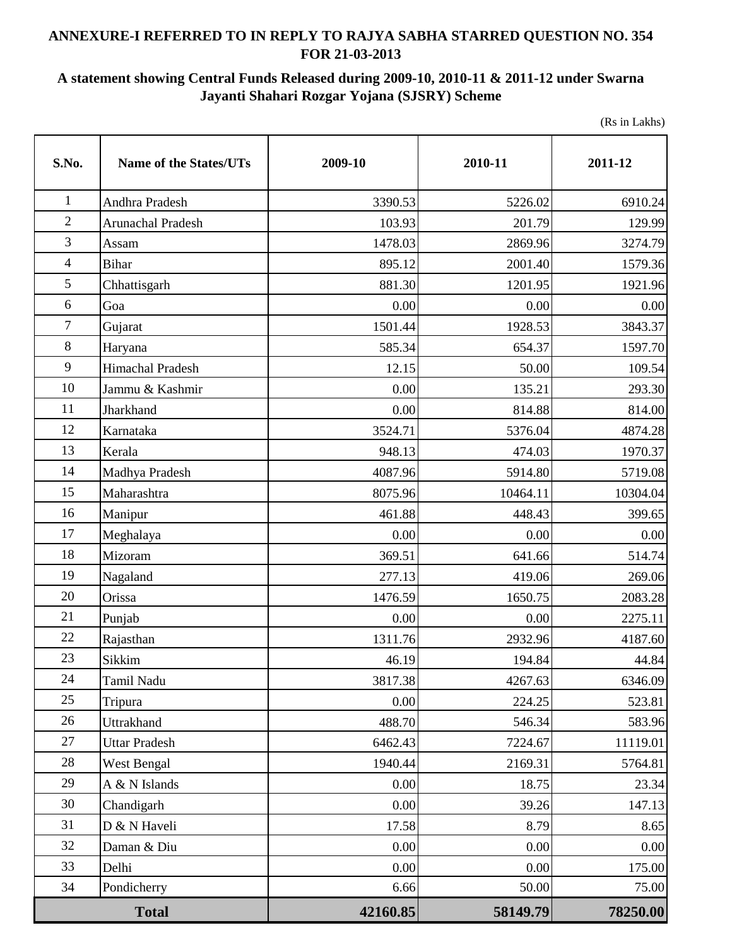## **ANNEXURE-I REFERRED TO IN REPLY TO RAJYA SABHA STARRED QUESTION NO. 354 FOR 21-03-2013**

## **A statement showing Central Funds Released during 2009-10, 2010-11 & 2011-12 under Swarna Jayanti Shahari Rozgar Yojana (SJSRY) Scheme**

(Rs in Lakhs)

| S.No.            | <b>Name of the States/UTs</b> | 2009-10  | 2010-11  | 2011-12  |
|------------------|-------------------------------|----------|----------|----------|
| $\mathbf{1}$     | Andhra Pradesh                | 3390.53  | 5226.02  | 6910.24  |
| $\overline{2}$   | <b>Arunachal Pradesh</b>      | 103.93   | 201.79   | 129.99   |
| $\mathfrak{Z}$   | Assam                         | 1478.03  |          | 3274.79  |
| $\overline{4}$   | Bihar                         | 895.12   | 2001.40  | 1579.36  |
| 5                | Chhattisgarh                  | 881.30   | 1201.95  | 1921.96  |
| 6                | Goa                           | 0.00     | 0.00     | 0.00     |
| $\boldsymbol{7}$ | Gujarat                       | 1501.44  | 1928.53  | 3843.37  |
| $\,8\,$          | Haryana                       | 585.34   | 654.37   | 1597.70  |
| 9                | Himachal Pradesh              | 12.15    | 50.00    | 109.54   |
| 10               | Jammu & Kashmir               | 0.00     | 135.21   | 293.30   |
| 11               | Jharkhand                     | 0.00     | 814.88   | 814.00   |
| 12               | Karnataka                     | 3524.71  | 5376.04  | 4874.28  |
| 13               | Kerala                        | 948.13   | 474.03   | 1970.37  |
| 14               | Madhya Pradesh                | 4087.96  | 5914.80  | 5719.08  |
| 15               | Maharashtra                   | 8075.96  | 10464.11 | 10304.04 |
| 16               | Manipur                       | 461.88   | 448.43   | 399.65   |
| 17               | Meghalaya                     | 0.00     | 0.00     | 0.00     |
| 18               | Mizoram                       | 369.51   | 641.66   | 514.74   |
| 19               | Nagaland                      | 277.13   | 419.06   | 269.06   |
| 20               | Orissa                        | 1476.59  | 1650.75  | 2083.28  |
| 21               | Punjab                        | 0.00     | 0.00     | 2275.11  |
| 22               | Rajasthan                     | 1311.76  | 2932.96  | 4187.60  |
| 23               | Sikkim                        | 46.19    | 194.84   | 44.84    |
| 24               | Tamil Nadu                    | 3817.38  | 4267.63  | 6346.09  |
| 25               | Tripura                       | 0.00     | 224.25   | 523.81   |
| 26               | Uttrakhand                    | 488.70   | 546.34   | 583.96   |
| 27               | <b>Uttar Pradesh</b>          | 6462.43  | 7224.67  | 11119.01 |
| 28               | West Bengal                   | 1940.44  | 2169.31  | 5764.81  |
| 29               | A & N Islands                 | 0.00     | 18.75    | 23.34    |
| 30               | Chandigarh                    | 0.00     | 39.26    | 147.13   |
| 31               | D & N Haveli                  | 17.58    | 8.79     | 8.65     |
| 32               | Daman & Diu                   | 0.00     | 0.00     | 0.00     |
| 33               | Delhi                         | 0.00     | 0.00     | 175.00   |
| 34               | Pondicherry                   | 6.66     | 50.00    | 75.00    |
| <b>Total</b>     |                               | 42160.85 | 58149.79 | 78250.00 |